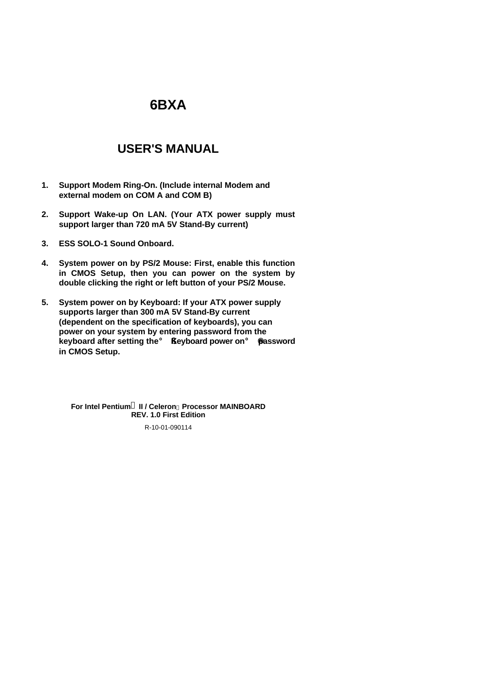# **6BXA**

# **USER'S MANUAL**

- **1. Support Modem Ring-On. (Include internal Modem and external modem on COM A and COM B)**
- **2. Support Wake-up On LAN. (Your ATX power supply must support larger than 720 mA 5V Stand-By current)**
- **3. ESS SOLO-1 Sound Onboard.**
- **4. System power on by PS/2 Mouse: First, enable this function in CMOS Setup, then you can power on the system by double clicking the right or left button of your PS/2 Mouse.**
- **5. System power on by Keyboard: If your ATX power supply supports larger than 300 mA 5V Stand-By current (dependent on the specification of keyboards), you can power on your system by entering password from the keyboard after setting the**¡ §**Keyboard power on**¡ ¨ **password in CMOS Setup.**

**For Intel Pentium<sup>â</sup> II / Celeron<sup>™</sup> Processor MAINBOARD REV. 1.0 First Edition**

R-10-01-090114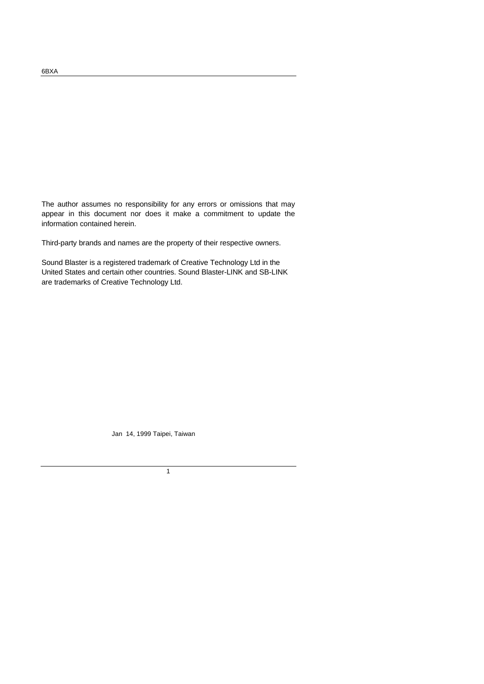The author assumes no responsibility for any errors or omissions that may appear in this document nor does it make a commitment to update the information contained herein.

Third-party brands and names are the property of their respective owners.

Sound Blaster is a registered trademark of Creative Technology Ltd in the United States and certain other countries. Sound Blaster-LINK and SB-LINK are trademarks of Creative Technology Ltd.

Jan 14, 1999 Taipei, Taiwan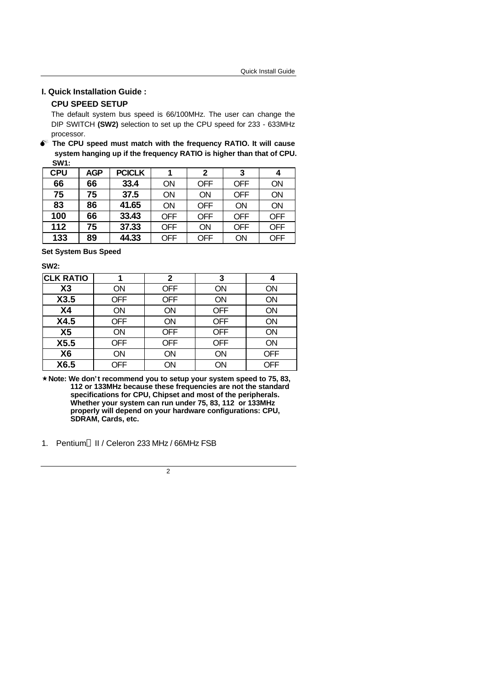#### **I. Quick Installation Guide :**

### **CPU SPEED SETUP**

The default system bus speed is 66/100MHz. The user can change the DIP SWITCH **(SW2)** selection to set up the CPU speed for 233 - 633MHz processor.

 $\bullet^*$  The CPU speed must match with the frequency RATIO. It will cause **system hanging up if the frequency RATIO is higher than that of CPU. SW1:**

| <b>CPU</b> | <b>AGP</b> | <b>PCICLK</b> |            | 2          | 3          | 4          |
|------------|------------|---------------|------------|------------|------------|------------|
| 66         | 66         | 33.4          | ΟN         | <b>OFF</b> | <b>OFF</b> | ON         |
| 75         | 75         | 37.5          | ΟN         | ON         | <b>OFF</b> | ON         |
| 83         | 86         | 41.65         | ΟN         | <b>OFF</b> | ON         | ON         |
| 100        | 66         | 33.43         | OFF        | <b>OFF</b> | <b>OFF</b> | <b>OFF</b> |
| 112        | 75         | 37.33         | <b>OFF</b> | ON         | <b>OFF</b> | <b>OFF</b> |
| 133        | 89         | 44.33         | <b>OFF</b> | <b>OFF</b> | ON         | OFF        |

**Set System Bus Speed**

**SW2:**

| <b>CLK RATIO</b> |            | 2          | 3          | 4          |
|------------------|------------|------------|------------|------------|
| X3               | <b>ON</b>  | <b>OFF</b> | <b>ON</b>  | ΟN         |
| X3.5             | <b>OFF</b> | <b>OFF</b> | <b>ON</b>  | ON         |
| X <sub>4</sub>   | <b>ON</b>  | ON         | <b>OFF</b> | <b>ON</b>  |
| X4.5             | <b>OFF</b> | ON         | <b>OFF</b> | <b>ON</b>  |
| X <sub>5</sub>   | <b>ON</b>  | <b>OFF</b> | <b>OFF</b> | <b>ON</b>  |
| X5.5             | <b>OFF</b> | <b>OFF</b> | <b>OFF</b> | ON         |
| X <sub>6</sub>   | ON         | ON         | ON         | <b>OFF</b> |
| X6.5             | <b>OFF</b> | ON         | ON         | <b>OFF</b> |

**´Note: We don't recommend you to setup your system speed to 75, 83, 112 or 133MHz because these frequencies are not the standard specifications for CPU, Chipset and most of the peripherals. Whether your system can run under 75, 83, 112 or 133MHz properly will depend on your hardware configurations: CPU, SDRAM, Cards, etc.**

1. Pentium® II / Celeron 233 MHz / 66MHz FSB

 $\overline{2}$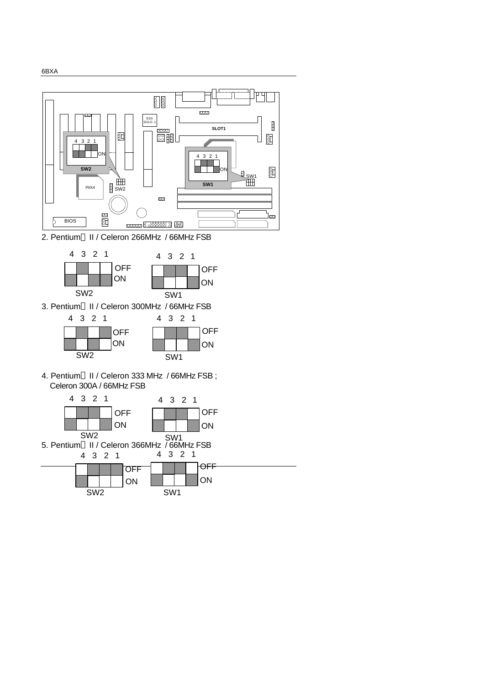

2. Pentium® II / Celeron 266MHz / 66MHz FSB



3. Pentium® II / Celeron 300MHz / 66MHz FSB



4. Pentium® II / Celeron 333 MHz / 66MHz FSB; Celeron 300A / 66MHz FSB

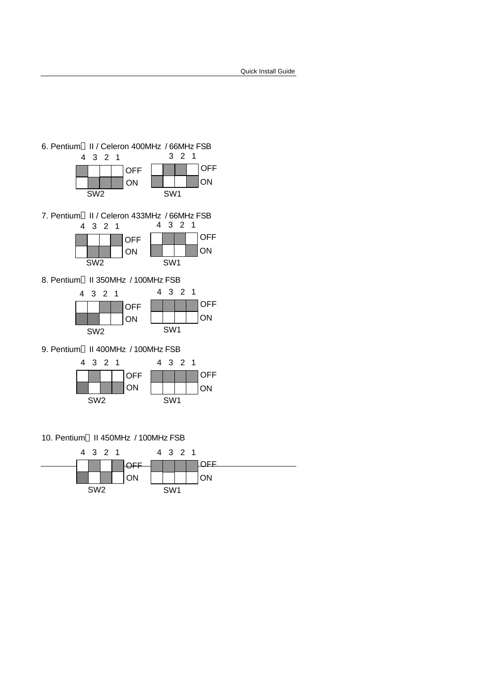

9. Pentium® II 400MHz / 100MHz FSB



10. Pentium<sup>®</sup> II 450MHz / 100MHz FSB

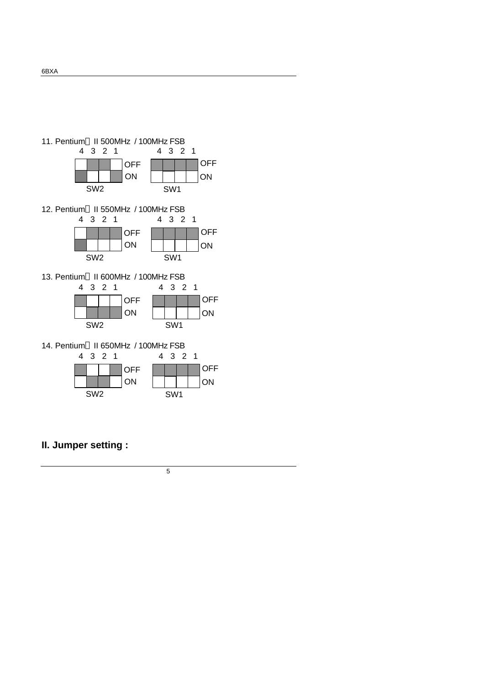

## **II. Jumper setting :**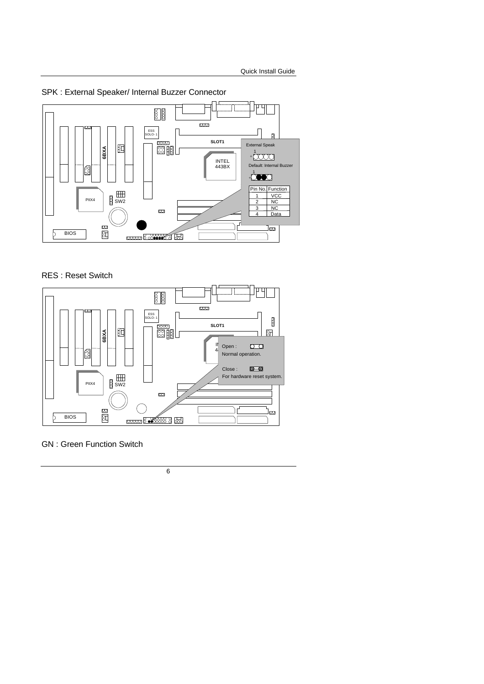

SPK : External Speaker/ Internal Buzzer Connector

### RES : Reset Switch



GN : Green Function Switch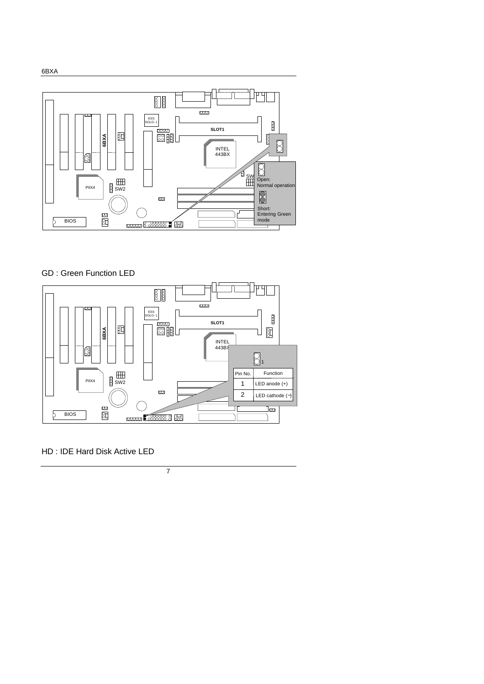

GD : Green Function LED



HD : IDE Hard Disk Active LED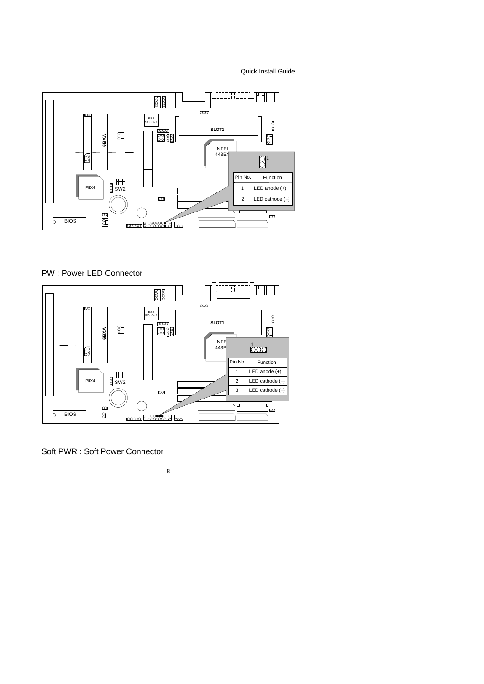

PW : Power LED Connector



Soft PWR : Soft Power Connector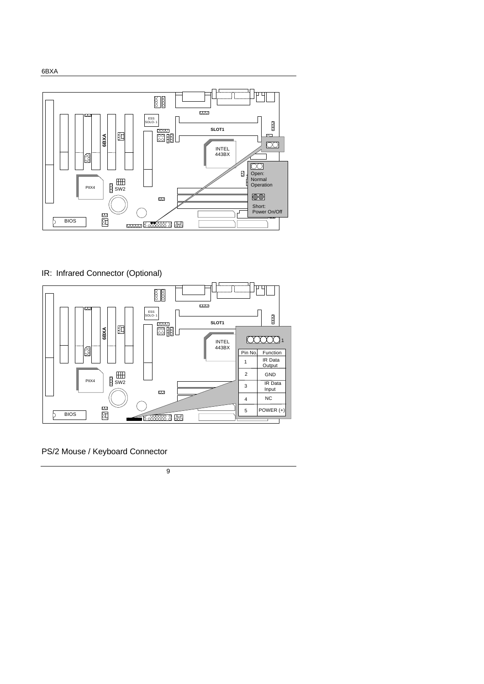

### IR: Infrared Connector (Optional)



PS/2 Mouse / Keyboard Connector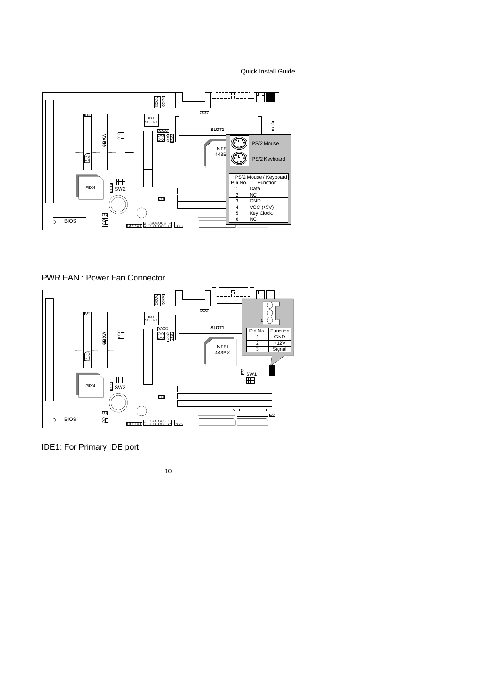

PWR FAN : Power Fan Connector



IDE1: For Primary IDE port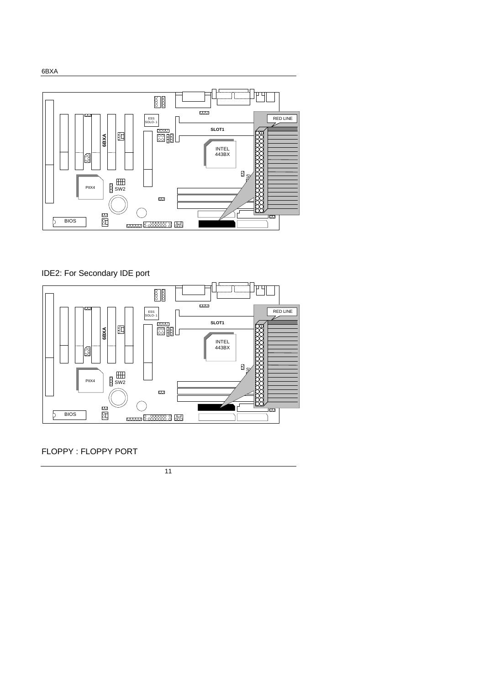

## IDE2: For Secondary IDE port



FLOPPY : FLOPPY PORT

11

6BXA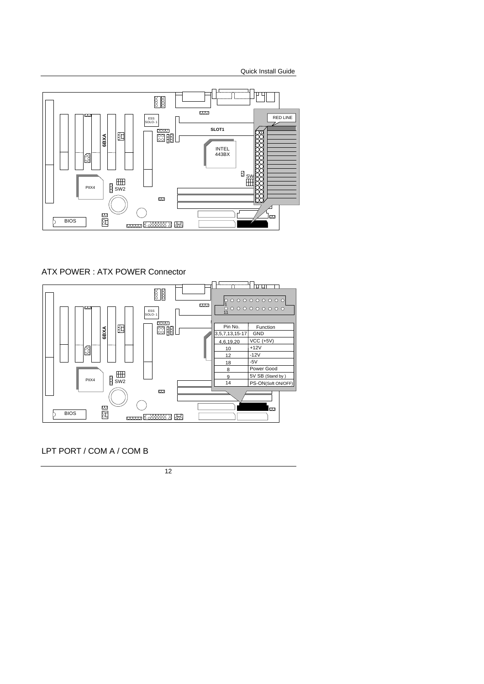

### ATX POWER : ATX POWER Connector



LPT PORT / COM A / COM B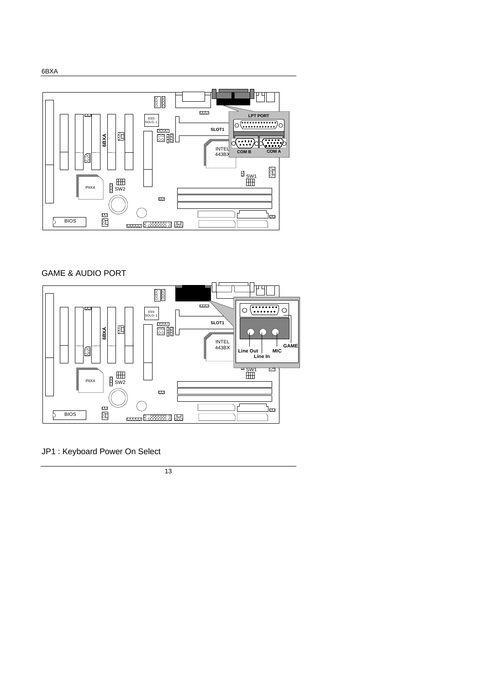

### GAME & AUDIO PORT



### JP1 : Keyboard Power On Select

13

6BXA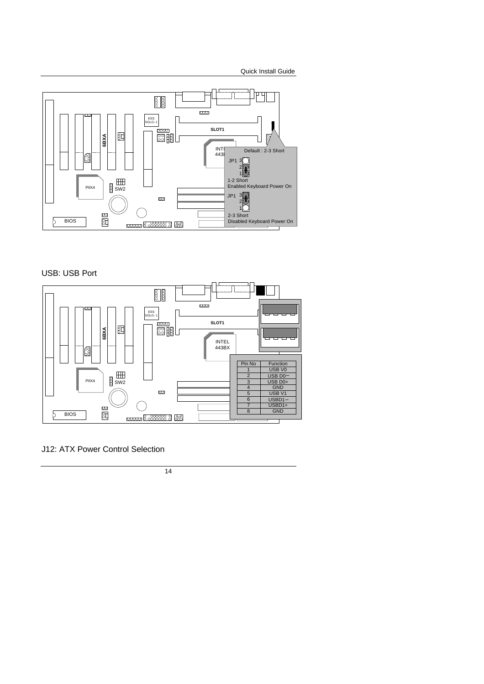

USB: USB Port



J12: ATX Power Control Selection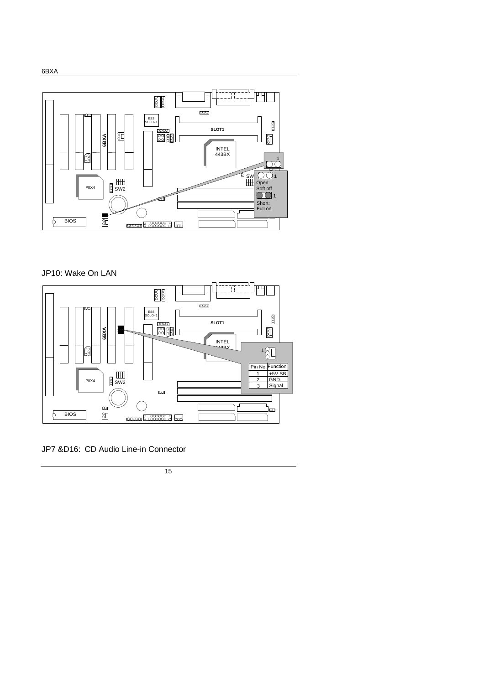

### JP10: Wake On LAN



JP7 &D16: CD Audio Line-in Connector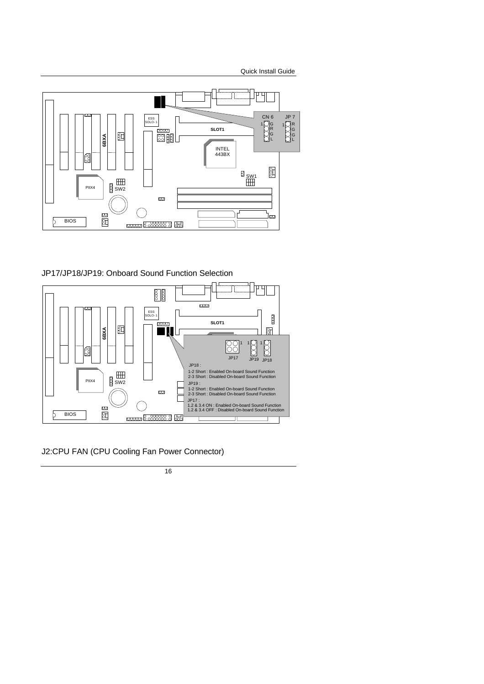

### JP17/JP18/JP19: Onboard Sound Function Selection



J2:CPU FAN (CPU Cooling Fan Power Connector)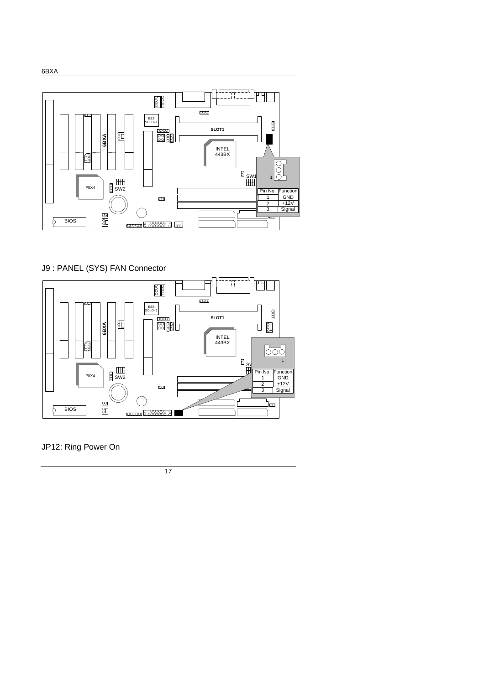

J9 : PANEL (SYS) FAN Connector



JP12: Ring Power On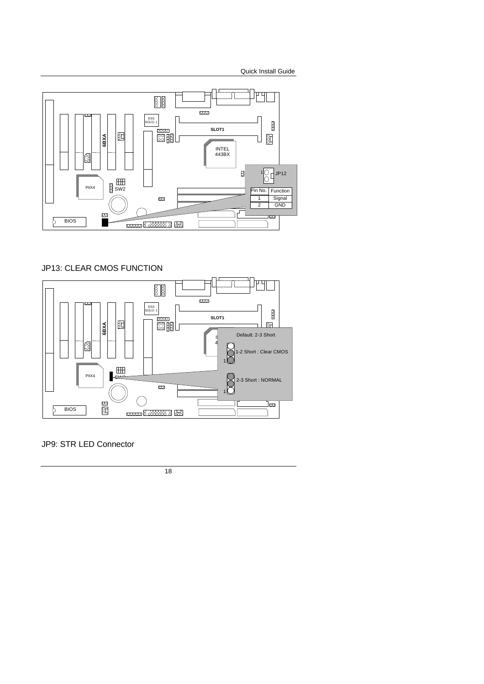

### JP13: CLEAR CMOS FUNCTION



### JP9: STR LED Connector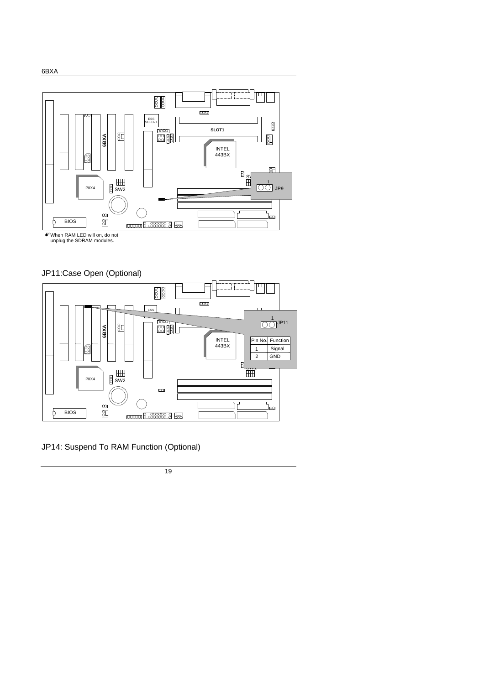







JP14: Suspend To RAM Function (Optional)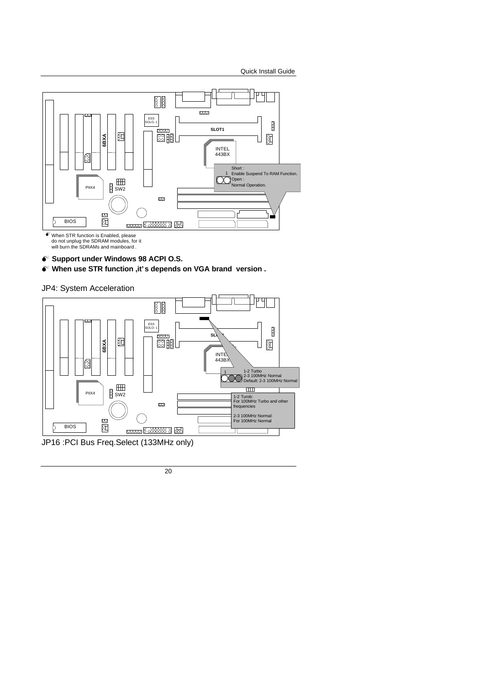

- **M Support under Windows 98 ACPI O.S.**
- **M When use STR function ,it's depends on VGA brand version .**

JP4: System Acceleration

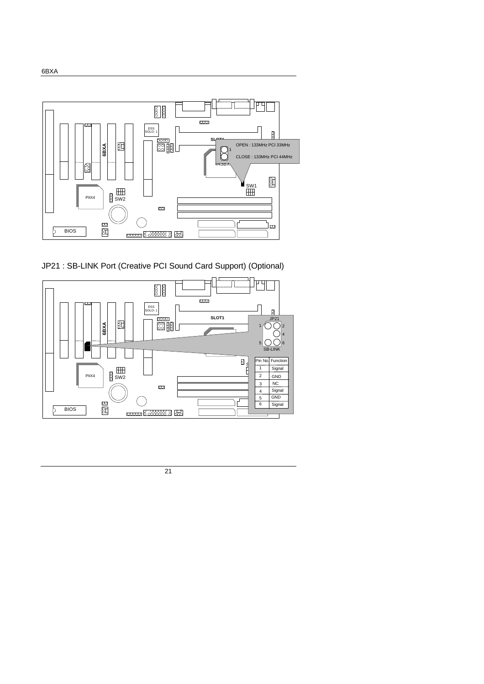

JP21 : SB-LINK Port (Creative PCI Sound Card Support) (Optional)

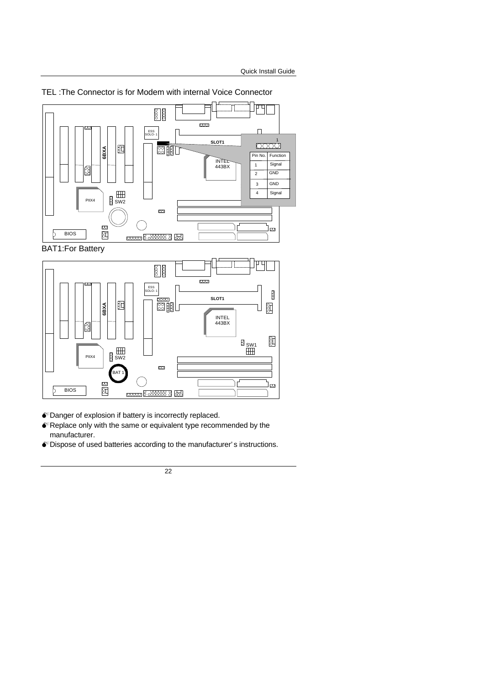

#### TEL :The Connector is for Modem with internal Voice Connector

BAT1:For Battery



 $\bullet$  Danger of explosion if battery is incorrectly replaced.

- MReplace only with the same or equivalent type recommended by the manufacturer.
- MDispose of used batteries according to the manufacturer' s instructions.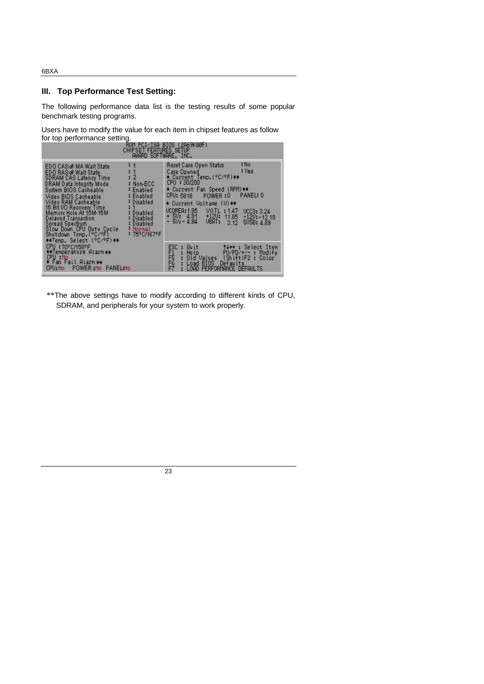6BXA

### **III. Top Performance Test Setting:**

The following performance data list is the testing results of some popular benchmark testing programs.

Users have to modify the value for each item in chipset features as follow for top performance setting.

| ROM PCI/ISA BIOS (2A69KG0F)<br>CHIPSET FEATURES SETUP<br>AWARD SOFTWARE, INC.                                                                                                                                                                                                                                                                                                                                                                                                                                      |                                                                                                                                                                                                                                                                                                                                                        |  |  |  |  |  |
|--------------------------------------------------------------------------------------------------------------------------------------------------------------------------------------------------------------------------------------------------------------------------------------------------------------------------------------------------------------------------------------------------------------------------------------------------------------------------------------------------------------------|--------------------------------------------------------------------------------------------------------------------------------------------------------------------------------------------------------------------------------------------------------------------------------------------------------------------------------------------------------|--|--|--|--|--|
| EDO CAS:# MA Wait State<br>$: 1 \ 2$<br>EDO RAS»# Wait State<br><b>SDRAM CAS Latency Time</b><br>DRAM Data Integrity Mode<br>: Non-ECC<br>System BIOS Cacheable<br>: Enabled<br>: Enabled<br>Video BIOS Cacheable<br>Video RAM Cacheable.<br>: Disabled<br>16 Bit I/O Recovery Time<br>Memory Hole At 15M-16M<br>: Disabled<br>Delayed Transaction<br>: Disabled<br>Spread Spectrum<br><b>Disabled</b><br>Normal<br>Slow Down CPU Duty Cycle<br>: 75°C/167°F<br>Shutdown Temp. (°C/°F)<br>**Temp. Select (°C/°F)** | : No<br>Reset Case Open Status<br>: Yes<br>Case Opened<br>* Current Temp. (°C/°F)**<br>CPU: 30/200<br>* Current Fan Speed (RPM)**<br>PANEL: 0<br>POWER:0<br>CPU: 5818<br>* Current Voltage (V) **<br>VGTL: 1.47<br><b>UCOREA: 1.95</b><br><b>UCC3: 3.24</b><br>$+50: 4.91 +120: 11.85$<br>$-50:-4.94$ UBRT: 3.12<br>$-120:-12.19$<br>3.12<br>50SB: 489 |  |  |  |  |  |
| CPU : 70°C/158°F<br>**Temperature Hiarm**<br>CPU : No<br>* Fan Fail Alarm **<br>CPU No POWER No PANEL No                                                                                                                                                                                                                                                                                                                                                                                                           | ESC.<br>t+++: Select Item<br>Quit<br>FI5<br>FF662<br>Help<br>$PU/PD/+/-$ : Modify<br>×.<br>Old Values (Shift)F2 : Color<br>Defaults<br>Load BIOS<br>PERFORMANCE DEFAULTS<br>LOAD                                                                                                                                                                       |  |  |  |  |  |

\*\*The above settings have to modify according to different kinds of CPU, SDRAM, and peripherals for your system to work properly.